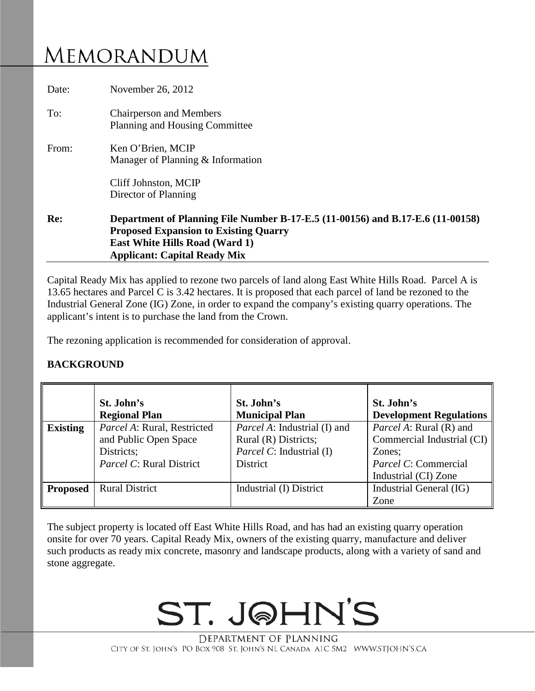# MEMORANDUM

| Date: | November 26, 2012                                                                                                                                                                                              |  |  |
|-------|----------------------------------------------------------------------------------------------------------------------------------------------------------------------------------------------------------------|--|--|
| To:   | <b>Chairperson and Members</b><br>Planning and Housing Committee                                                                                                                                               |  |  |
| From: | Ken O'Brien, MCIP<br>Manager of Planning & Information<br>Cliff Johnston, MCIP<br>Director of Planning                                                                                                         |  |  |
| Re:   | Department of Planning File Number B-17-E.5 (11-00156) and B.17-E.6 (11-00158)<br><b>Proposed Expansion to Existing Quarry</b><br><b>East White Hills Road (Ward 1)</b><br><b>Applicant: Capital Ready Mix</b> |  |  |

Capital Ready Mix has applied to rezone two parcels of land along East White Hills Road. Parcel A is 13.65 hectares and Parcel C is 3.42 hectares. It is proposed that each parcel of land be rezoned to the Industrial General Zone (IG) Zone, in order to expand the company's existing quarry operations. The applicant's intent is to purchase the land from the Crown.

The rezoning application is recommended for consideration of approval.

#### **BACKGROUND**

|                 | St. John's<br><b>Regional Plan</b>                                                             | St. John's<br><b>Municipal Plan</b>                                                                 | St. John's<br><b>Development Regulations</b>                                                                           |
|-----------------|------------------------------------------------------------------------------------------------|-----------------------------------------------------------------------------------------------------|------------------------------------------------------------------------------------------------------------------------|
| <b>Existing</b> | Parcel A: Rural, Restricted<br>and Public Open Space<br>Districts;<br>Parcel C: Rural District | <i>Parcel A:</i> Industrial (I) and<br>Rural (R) Districts;<br>Parcel C: Industrial (I)<br>District | <i>Parcel A: Rural (R) and</i><br>Commercial Industrial (CI)<br>Zones;<br>Parcel C: Commercial<br>Industrial (CI) Zone |
| <b>Proposed</b> | <b>Rural District</b>                                                                          | Industrial (I) District                                                                             | Industrial General (IG)<br>Zone                                                                                        |

The subject property is located off East White Hills Road, and has had an existing quarry operation onsite for over 70 years. Capital Ready Mix, owners of the existing quarry, manufacture and deliver such products as ready mix concrete, masonry and landscape products, along with a variety of sand and stone aggregate.

# ST. JOHN'S

DEPARTMENT OF PLANNING CITY OF ST. JOHN'S PO BOX 908 ST. JOHN'S NL CANADA A1C 5M2 WWW.STJOHN'S.CA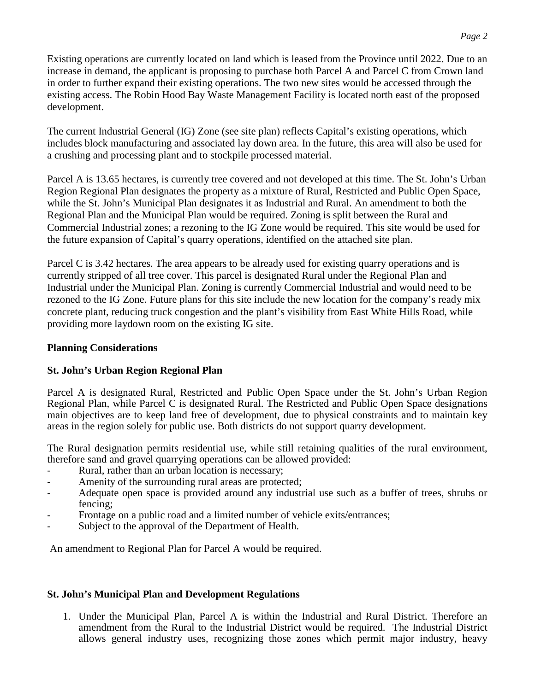Existing operations are currently located on land which is leased from the Province until 2022. Due to an increase in demand, the applicant is proposing to purchase both Parcel A and Parcel C from Crown land in order to further expand their existing operations. The two new sites would be accessed through the existing access. The Robin Hood Bay Waste Management Facility is located north east of the proposed development.

The current Industrial General (IG) Zone (see site plan) reflects Capital's existing operations, which includes block manufacturing and associated lay down area. In the future, this area will also be used for a crushing and processing plant and to stockpile processed material.

Parcel A is 13.65 hectares, is currently tree covered and not developed at this time. The St. John's Urban Region Regional Plan designates the property as a mixture of Rural, Restricted and Public Open Space, while the St. John's Municipal Plan designates it as Industrial and Rural. An amendment to both the Regional Plan and the Municipal Plan would be required. Zoning is split between the Rural and Commercial Industrial zones; a rezoning to the IG Zone would be required. This site would be used for the future expansion of Capital's quarry operations, identified on the attached site plan.

Parcel C is 3.42 hectares. The area appears to be already used for existing quarry operations and is currently stripped of all tree cover. This parcel is designated Rural under the Regional Plan and Industrial under the Municipal Plan. Zoning is currently Commercial Industrial and would need to be rezoned to the IG Zone. Future plans for this site include the new location for the company's ready mix concrete plant, reducing truck congestion and the plant's visibility from East White Hills Road, while providing more laydown room on the existing IG site.

## **Planning Considerations**

## **St. John's Urban Region Regional Plan**

Parcel A is designated Rural, Restricted and Public Open Space under the St. John's Urban Region Regional Plan, while Parcel C is designated Rural. The Restricted and Public Open Space designations main objectives are to keep land free of development, due to physical constraints and to maintain key areas in the region solely for public use. Both districts do not support quarry development.

The Rural designation permits residential use, while still retaining qualities of the rural environment, therefore sand and gravel quarrying operations can be allowed provided:

- Rural, rather than an urban location is necessary;
- Amenity of the surrounding rural areas are protected;
- Adequate open space is provided around any industrial use such as a buffer of trees, shrubs or fencing;
- Frontage on a public road and a limited number of vehicle exits/entrances;
- Subject to the approval of the Department of Health.

An amendment to Regional Plan for Parcel A would be required.

## **St. John's Municipal Plan and Development Regulations**

1. Under the Municipal Plan, Parcel A is within the Industrial and Rural District. Therefore an amendment from the Rural to the Industrial District would be required. The Industrial District allows general industry uses, recognizing those zones which permit major industry, heavy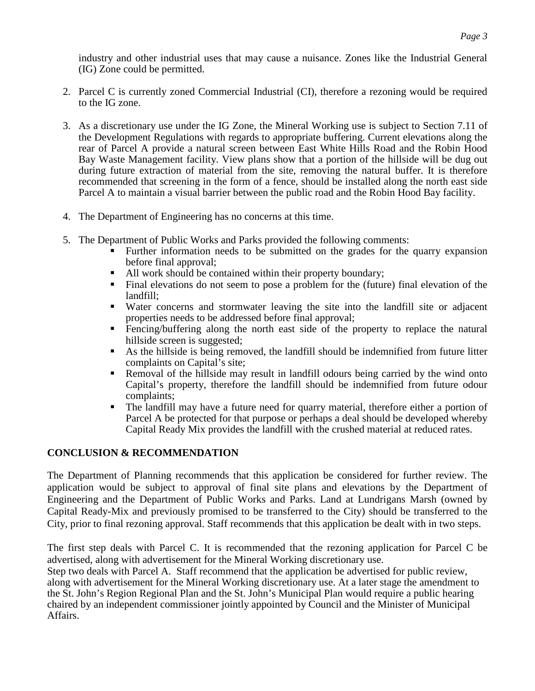industry and other industrial uses that may cause a nuisance. Zones like the Industrial General (IG) Zone could be permitted.

- 2. Parcel C is currently zoned Commercial Industrial (CI), therefore a rezoning would be required to the IG zone.
- 3. As a discretionary use under the IG Zone, the Mineral Working use is subject to Section 7.11 of the Development Regulations with regards to appropriate buffering. Current elevations along the rear of Parcel A provide a natural screen between East White Hills Road and the Robin Hood Bay Waste Management facility. View plans show that a portion of the hillside will be dug out during future extraction of material from the site, removing the natural buffer. It is therefore recommended that screening in the form of a fence, should be installed along the north east side Parcel A to maintain a visual barrier between the public road and the Robin Hood Bay facility.
- 4. The Department of Engineering has no concerns at this time.
- 5. The Department of Public Works and Parks provided the following comments:
	- Further information needs to be submitted on the grades for the quarry expansion before final approval;
	- All work should be contained within their property boundary;
	- Final elevations do not seem to pose a problem for the (future) final elevation of the landfill;
	- Water concerns and stormwater leaving the site into the landfill site or adjacent properties needs to be addressed before final approval;
	- Fencing/buffering along the north east side of the property to replace the natural hillside screen is suggested;
	- As the hillside is being removed, the landfill should be indemnified from future litter complaints on Capital's site;
	- Removal of the hillside may result in landfill odours being carried by the wind onto Capital's property, therefore the landfill should be indemnified from future odour complaints;
	- The landfill may have a future need for quarry material, therefore either a portion of Parcel A be protected for that purpose or perhaps a deal should be developed whereby Capital Ready Mix provides the landfill with the crushed material at reduced rates.

#### **CONCLUSION & RECOMMENDATION**

The Department of Planning recommends that this application be considered for further review. The application would be subject to approval of final site plans and elevations by the Department of Engineering and the Department of Public Works and Parks. Land at Lundrigans Marsh (owned by Capital Ready-Mix and previously promised to be transferred to the City) should be transferred to the City, prior to final rezoning approval. Staff recommends that this application be dealt with in two steps.

The first step deals with Parcel C. It is recommended that the rezoning application for Parcel C be advertised, along with advertisement for the Mineral Working discretionary use.

Step two deals with Parcel A. Staff recommend that the application be advertised for public review, along with advertisement for the Mineral Working discretionary use. At a later stage the amendment to the St. John's Region Regional Plan and the St. John's Municipal Plan would require a public hearing chaired by an independent commissioner jointly appointed by Council and the Minister of Municipal Affairs.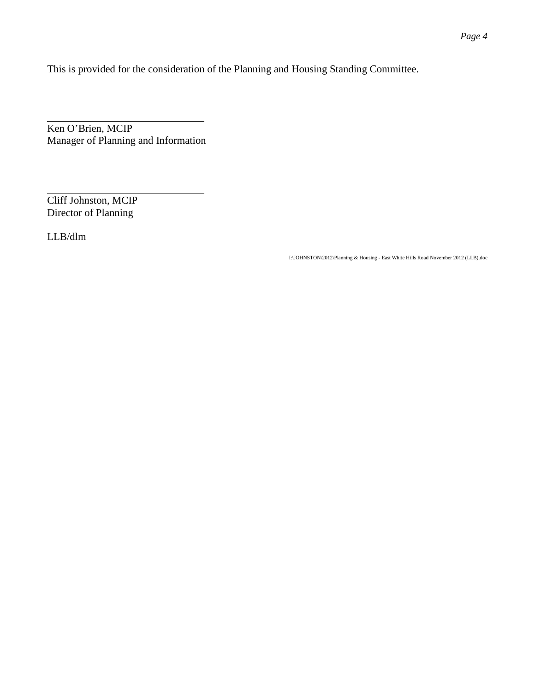This is provided for the consideration of the Planning and Housing Standing Committee.

Ken O'Brien, MCIP Manager of Planning and Information

Cliff Johnston, MCIP Director of Planning

LLB/dlm

I:\JOHNSTON\2012\Planning & Housing - East White Hills Road November 2012 (LLB).doc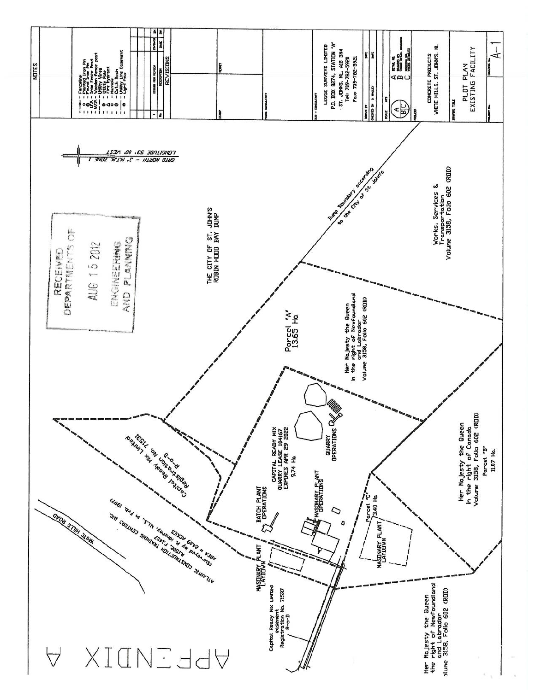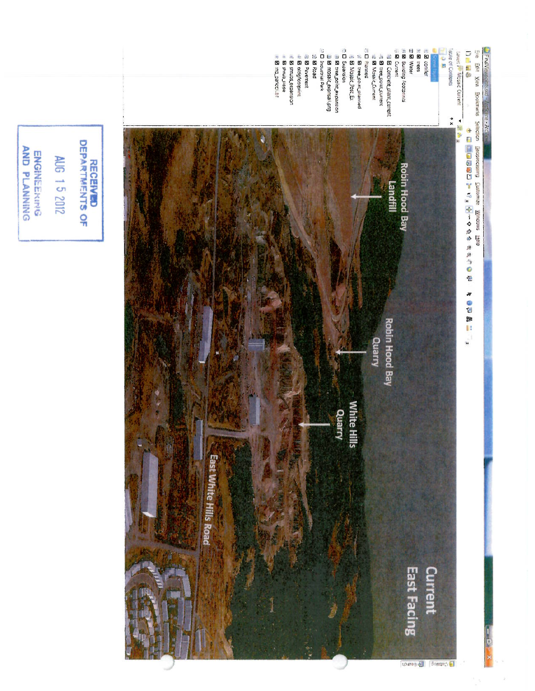